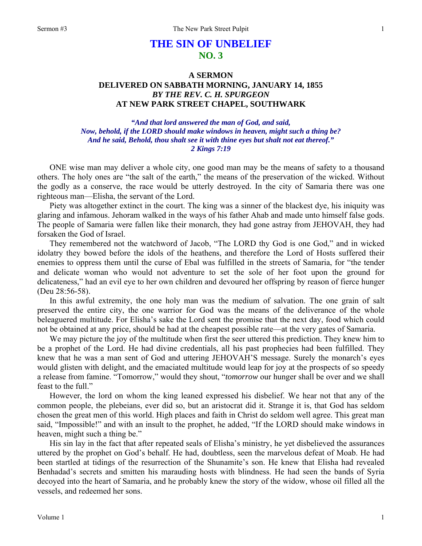# **THE SIN OF UNBELIEF NO. 3**

## **A SERMON DELIVERED ON SABBATH MORNING, JANUARY 14, 1855**  *BY THE REV. C. H. SPURGEON*  **AT NEW PARK STREET CHAPEL, SOUTHWARK**

### *"And that lord answered the man of God, and said, Now, behold, if the LORD should make windows in heaven, might such a thing be? And he said, Behold, thou shalt see it with thine eyes but shalt not eat thereof." 2 Kings 7:19*

ONE wise man may deliver a whole city, one good man may be the means of safety to a thousand others. The holy ones are "the salt of the earth," the means of the preservation of the wicked. Without the godly as a conserve, the race would be utterly destroyed. In the city of Samaria there was one righteous man—Elisha, the servant of the Lord.

Piety was altogether extinct in the court. The king was a sinner of the blackest dye, his iniquity was glaring and infamous. Jehoram walked in the ways of his father Ahab and made unto himself false gods. The people of Samaria were fallen like their monarch, they had gone astray from JEHOVAH, they had forsaken the God of Israel.

They remembered not the watchword of Jacob, "The LORD thy God is one God," and in wicked idolatry they bowed before the idols of the heathens, and therefore the Lord of Hosts suffered their enemies to oppress them until the curse of Ebal was fulfilled in the streets of Samaria, for "the tender and delicate woman who would not adventure to set the sole of her foot upon the ground for delicateness," had an evil eye to her own children and devoured her offspring by reason of fierce hunger (Deu 28:56-58).

In this awful extremity, the one holy man was the medium of salvation. The one grain of salt preserved the entire city, the one warrior for God was the means of the deliverance of the whole beleaguered multitude. For Elisha's sake the Lord sent the promise that the next day, food which could not be obtained at any price, should be had at the cheapest possible rate—at the very gates of Samaria.

We may picture the joy of the multitude when first the seer uttered this prediction. They knew him to be a prophet of the Lord. He had divine credentials, all his past prophecies had been fulfilled. They knew that he was a man sent of God and uttering JEHOVAH'S message. Surely the monarch's eyes would glisten with delight, and the emaciated multitude would leap for joy at the prospects of so speedy a release from famine. "Tomorrow," would they shout, "*tomorrow* our hunger shall be over and we shall feast to the full."

However, the lord on whom the king leaned expressed his disbelief. We hear not that any of the common people, the plebeians, ever did so, but an aristocrat did it. Strange it is, that God has seldom chosen the great men of this world. High places and faith in Christ do seldom well agree. This great man said, "Impossible!" and with an insult to the prophet, he added, "If the LORD should make windows in heaven, might such a thing be."

His sin lay in the fact that after repeated seals of Elisha's ministry, he yet disbelieved the assurances uttered by the prophet on God's behalf. He had, doubtless, seen the marvelous defeat of Moab. He had been startled at tidings of the resurrection of the Shunamite's son. He knew that Elisha had revealed Benhadad's secrets and smitten his marauding hosts with blindness. He had seen the bands of Syria decoyed into the heart of Samaria, and he probably knew the story of the widow, whose oil filled all the vessels, and redeemed her sons.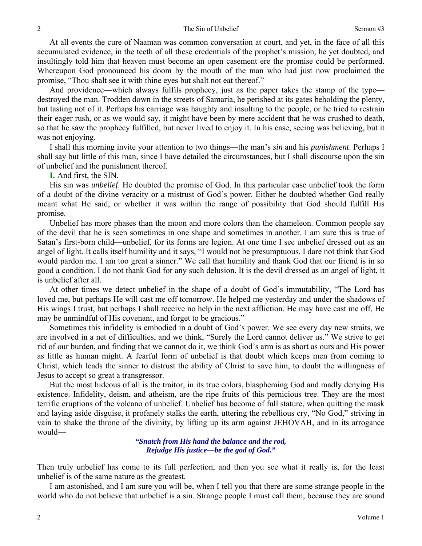At all events the cure of Naaman was common conversation at court, and yet, in the face of all this accumulated evidence, in the teeth of all these credentials of the prophet's mission, he yet doubted, and insultingly told him that heaven must become an open casement ere the promise could be performed. Whereupon God pronounced his doom by the mouth of the man who had just now proclaimed the promise, "Thou shalt see it with thine eyes but shalt not eat thereof."

And providence—which always fulfils prophecy, just as the paper takes the stamp of the type destroyed the man. Trodden down in the streets of Samaria, he perished at its gates beholding the plenty, but tasting not of it. Perhaps his carriage was haughty and insulting to the people, or he tried to restrain their eager rush, or as we would say, it might have been by mere accident that he was crushed to death, so that he saw the prophecy fulfilled, but never lived to enjoy it. In his case, seeing was believing, but it was not enjoying.

I shall this morning invite your attention to two things—the man's *sin* and his *punishment*. Perhaps I shall say but little of this man, since I have detailed the circumstances, but I shall discourse upon the sin of unbelief and the punishment thereof.

**I.** And first, the SIN.

His sin was *unbelief*. He doubted the promise of God. In this particular case unbelief took the form of a doubt of the divine veracity or a mistrust of God's power. Either he doubted whether God really meant what He said, or whether it was within the range of possibility that God should fulfill His promise.

Unbelief has more phases than the moon and more colors than the chameleon. Common people say of the devil that he is seen sometimes in one shape and sometimes in another. I am sure this is true of Satan's first-born child—unbelief, for its forms are legion. At one time I see unbelief dressed out as an angel of light. It calls itself humility and it says, "I would not be presumptuous. I dare not think that God would pardon me. I am too great a sinner." We call that humility and thank God that our friend is in so good a condition. I do not thank God for any such delusion. It is the devil dressed as an angel of light, it is unbelief after all.

At other times we detect unbelief in the shape of a doubt of God's immutability, "The Lord has loved me, but perhaps He will cast me off tomorrow. He helped me yesterday and under the shadows of His wings I trust, but perhaps I shall receive no help in the next affliction. He may have cast me off, He may be unmindful of His covenant, and forget to be gracious."

Sometimes this infidelity is embodied in a doubt of God's power. We see every day new straits, we are involved in a net of difficulties, and we think, "Surely the Lord cannot deliver us." We strive to get rid of our burden, and finding that we cannot do it, we think God's arm is as short as ours and His power as little as human might. A fearful form of unbelief is that doubt which keeps men from coming to Christ, which leads the sinner to distrust the ability of Christ to save him, to doubt the willingness of Jesus to accept so great a transgressor.

But the most hideous of all is the traitor, in its true colors, blaspheming God and madly denying His existence. Infidelity, deism, and atheism, are the ripe fruits of this pernicious tree. They are the most terrific eruptions of the volcano of unbelief. Unbelief has become of full stature, when quitting the mask and laying aside disguise, it profanely stalks the earth, uttering the rebellious cry, "No God," striving in vain to shake the throne of the divinity, by lifting up its arm against JEHOVAH, and in its arrogance would—

> *"Snatch from His hand the balance and the rod, Rejudge His justice—be the god of God."*

Then truly unbelief has come to its full perfection, and then you see what it really is, for the least unbelief is of the same nature as the greatest.

I am astonished, and I am sure you will be, when I tell you that there are some strange people in the world who do not believe that unbelief is a sin. Strange people I must call them, because they are sound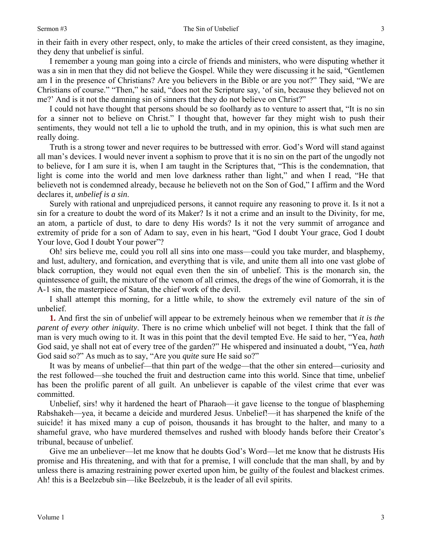#### Sermon #3 The Sin of Unbelief

in their faith in every other respect, only, to make the articles of their creed consistent, as they imagine, they deny that unbelief is sinful.

I remember a young man going into a circle of friends and ministers, who were disputing whether it was a sin in men that they did not believe the Gospel. While they were discussing it he said, "Gentlemen am I in the presence of Christians? Are you believers in the Bible or are you not?" They said, "We are Christians of course." "Then," he said, "does not the Scripture say, 'of sin, because they believed not on me?' And is it not the damning sin of sinners that they do not believe on Christ?"

I could not have thought that persons should be so foolhardy as to venture to assert that, "It is no sin for a sinner not to believe on Christ." I thought that, however far they might wish to push their sentiments, they would not tell a lie to uphold the truth, and in my opinion, this is what such men are really doing.

Truth is a strong tower and never requires to be buttressed with error. God's Word will stand against all man's devices. I would never invent a sophism to prove that it is no sin on the part of the ungodly not to believe, for I am sure it is, when I am taught in the Scriptures that, "This is the condemnation, that light is come into the world and men love darkness rather than light," and when I read, "He that believeth not is condemned already, because he believeth not on the Son of God," I affirm and the Word declares it, *unbelief is a sin*.

Surely with rational and unprejudiced persons, it cannot require any reasoning to prove it. Is it not a sin for a creature to doubt the word of its Maker? Is it not a crime and an insult to the Divinity, for me, an atom, a particle of dust, to dare to deny His words? Is it not the very summit of arrogance and extremity of pride for a son of Adam to say, even in his heart, "God I doubt Your grace, God I doubt Your love, God I doubt Your power"?

Oh! sirs believe me, could you roll all sins into one mass—could you take murder, and blasphemy, and lust, adultery, and fornication, and everything that is vile, and unite them all into one vast globe of black corruption, they would not equal even then the sin of unbelief. This is the monarch sin, the quintessence of guilt, the mixture of the venom of all crimes, the dregs of the wine of Gomorrah, it is the A-1 sin, the masterpiece of Satan, the chief work of the devil.

I shall attempt this morning, for a little while, to show the extremely evil nature of the sin of unbelief.

**1.** And first the sin of unbelief will appear to be extremely heinous when we remember that *it is the parent of every other iniquity*. There is no crime which unbelief will not beget. I think that the fall of man is very much owing to it. It was in this point that the devil tempted Eve. He said to her, "Yea, *hath*  God said, ye shall not eat of every tree of the garden?" He whispered and insinuated a doubt, "Yea, *hath*  God said so?" As much as to say, "Are you *quite* sure He said so?"

It was by means of unbelief—that thin part of the wedge—that the other sin entered—curiosity and the rest followed—she touched the fruit and destruction came into this world. Since that time, unbelief has been the prolific parent of all guilt. An unbeliever is capable of the vilest crime that ever was committed.

Unbelief, sirs! why it hardened the heart of Pharaoh—it gave license to the tongue of blaspheming Rabshakeh—yea, it became a deicide and murdered Jesus. Unbelief!—it has sharpened the knife of the suicide! it has mixed many a cup of poison, thousands it has brought to the halter, and many to a shameful grave, who have murdered themselves and rushed with bloody hands before their Creator's tribunal, because of unbelief.

Give me an unbeliever—let me know that he doubts God's Word—let me know that he distrusts His promise and His threatening, and with that for a premise, I will conclude that the man shall, by and by unless there is amazing restraining power exerted upon him, be guilty of the foulest and blackest crimes. Ah! this is a Beelzebub sin—like Beelzebub, it is the leader of all evil spirits.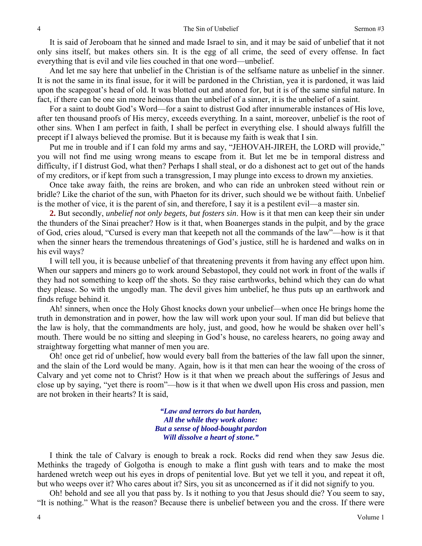It is said of Jeroboam that he sinned and made Israel to sin, and it may be said of unbelief that it not only sins itself, but makes others sin. It is the egg of all crime, the seed of every offense. In fact everything that is evil and vile lies couched in that one word—unbelief.

And let me say here that unbelief in the Christian is of the selfsame nature as unbelief in the sinner. It is not the same in its final issue, for it will be pardoned in the Christian, yea it is pardoned, it was laid upon the scapegoat's head of old. It was blotted out and atoned for, but it is of the same sinful nature. In fact, if there can be one sin more heinous than the unbelief of a sinner, it is the unbelief of a saint.

For a saint to doubt God's Word—for a saint to distrust God after innumerable instances of His love, after ten thousand proofs of His mercy, exceeds everything. In a saint, moreover, unbelief is the root of other sins. When I am perfect in faith, I shall be perfect in everything else. I should always fulfill the precept if I always believed the promise. But it is because my faith is weak that I sin.

Put me in trouble and if I can fold my arms and say, "JEHOVAH-JIREH, the LORD will provide," you will not find me using wrong means to escape from it. But let me be in temporal distress and difficulty, if I distrust God, what then? Perhaps I shall steal, or do a dishonest act to get out of the hands of my creditors, or if kept from such a transgression, I may plunge into excess to drown my anxieties.

Once take away faith, the reins are broken, and who can ride an unbroken steed without rein or bridle? Like the chariot of the sun, with Phaeton for its driver, such should we be without faith. Unbelief is the mother of vice, it is the parent of sin, and therefore, I say it is a pestilent evil—a master sin.

**2.** But secondly, *unbelief not only begets, but fosters sin*. How is it that men can keep their sin under the thunders of the Sinai preacher? How is it that, when Boanerges stands in the pulpit, and by the grace of God, cries aloud, "Cursed is every man that keepeth not all the commands of the law"—how is it that when the sinner hears the tremendous threatenings of God's justice, still he is hardened and walks on in his evil ways?

I will tell you, it is because unbelief of that threatening prevents it from having any effect upon him. When our sappers and miners go to work around Sebastopol, they could not work in front of the walls if they had not something to keep off the shots. So they raise earthworks, behind which they can do what they please. So with the ungodly man. The devil gives him unbelief, he thus puts up an earthwork and finds refuge behind it.

Ah! sinners, when once the Holy Ghost knocks down your unbelief—when once He brings home the truth in demonstration and in power, how the law will work upon your soul. If man did but believe that the law is holy, that the commandments are holy, just, and good, how he would be shaken over hell's mouth. There would be no sitting and sleeping in God's house, no careless hearers, no going away and straightway forgetting what manner of men you are.

Oh! once get rid of unbelief, how would every ball from the batteries of the law fall upon the sinner, and the slain of the Lord would be many. Again, how is it that men can hear the wooing of the cross of Calvary and yet come not to Christ? How is it that when we preach about the sufferings of Jesus and close up by saying, "yet there is room"—how is it that when we dwell upon His cross and passion, men are not broken in their hearts? It is said,

> *"Law and terrors do but harden, All the while they work alone: But a sense of blood-bought pardon Will dissolve a heart of stone."*

I think the tale of Calvary is enough to break a rock. Rocks did rend when they saw Jesus die. Methinks the tragedy of Golgotha is enough to make a flint gush with tears and to make the most hardened wretch weep out his eyes in drops of penitential love. But yet we tell it you, and repeat it oft, but who weeps over it? Who cares about it? Sirs, you sit as unconcerned as if it did not signify to you.

Oh! behold and see all you that pass by. Is it nothing to you that Jesus should die? You seem to say, "It is nothing." What is the reason? Because there is unbelief between you and the cross. If there were

4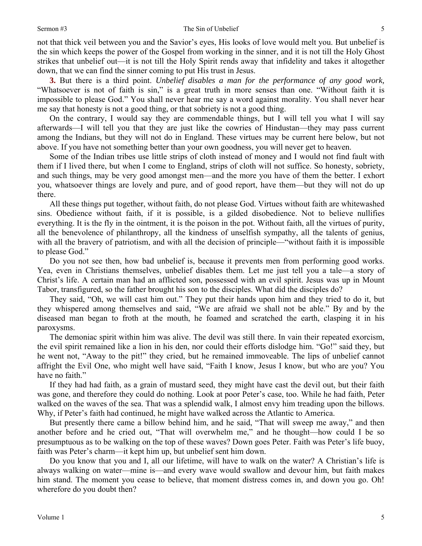not that thick veil between you and the Savior's eyes, His looks of love would melt you. But unbelief is the sin which keeps the power of the Gospel from working in the sinner, and it is not till the Holy Ghost strikes that unbelief out—it is not till the Holy Spirit rends away that infidelity and takes it altogether down, that we can find the sinner coming to put His trust in Jesus.

**3.** But there is a third point. *Unbelief disables a man for the performance of any good work,* "Whatsoever is not of faith is sin," is a great truth in more senses than one. "Without faith it is impossible to please God." You shall never hear me say a word against morality. You shall never hear me say that honesty is not a good thing, or that sobriety is not a good thing.

On the contrary, I would say they are commendable things, but I will tell you what I will say afterwards—I will tell you that they are just like the cowries of Hindustan—they may pass current among the Indians, but they will not do in England. These virtues may be current here below, but not above. If you have not something better than your own goodness, you will never get to heaven.

Some of the Indian tribes use little strips of cloth instead of money and I would not find fault with them if I lived there, but when I come to England, strips of cloth will not suffice. So honesty, sobriety, and such things, may be very good amongst men—and the more you have of them the better. I exhort you, whatsoever things are lovely and pure, and of good report, have them—but they will not do up there.

All these things put together, without faith, do not please God. Virtues without faith are whitewashed sins. Obedience without faith, if it is possible, is a gilded disobedience. Not to believe nullifies everything. It is the fly in the ointment, it is the poison in the pot. Without faith, all the virtues of purity, all the benevolence of philanthropy, all the kindness of unselfish sympathy, all the talents of genius, with all the bravery of patriotism, and with all the decision of principle—"without faith it is impossible to please God."

Do you not see then, how bad unbelief is, because it prevents men from performing good works. Yea, even in Christians themselves, unbelief disables them. Let me just tell you a tale—a story of Christ's life. A certain man had an afflicted son, possessed with an evil spirit. Jesus was up in Mount Tabor, transfigured, so the father brought his son to the disciples. What did the disciples do?

They said, "Oh, we will cast him out." They put their hands upon him and they tried to do it, but they whispered among themselves and said, "We are afraid we shall not be able." By and by the diseased man began to froth at the mouth, he foamed and scratched the earth, clasping it in his paroxysms.

The demoniac spirit within him was alive. The devil was still there. In vain their repeated exorcism, the evil spirit remained like a lion in his den, nor could their efforts dislodge him. "Go!" said they, but he went not, "Away to the pit!" they cried, but he remained immoveable. The lips of unbelief cannot affright the Evil One, who might well have said, "Faith I know, Jesus I know, but who are you? You have no faith."

If they had had faith, as a grain of mustard seed, they might have cast the devil out, but their faith was gone, and therefore they could do nothing. Look at poor Peter's case, too. While he had faith, Peter walked on the waves of the sea. That was a splendid walk, I almost envy him treading upon the billows. Why, if Peter's faith had continued, he might have walked across the Atlantic to America.

But presently there came a billow behind him, and he said, "That will sweep me away," and then another before and he cried out, "That will overwhelm me," and he thought—how could I be so presumptuous as to be walking on the top of these waves? Down goes Peter. Faith was Peter's life buoy, faith was Peter's charm—it kept him up, but unbelief sent him down.

Do you know that you and I, all our lifetime, will have to walk on the water? A Christian's life is always walking on water—mine is—and every wave would swallow and devour him, but faith makes him stand. The moment you cease to believe, that moment distress comes in, and down you go. Oh! wherefore do you doubt then?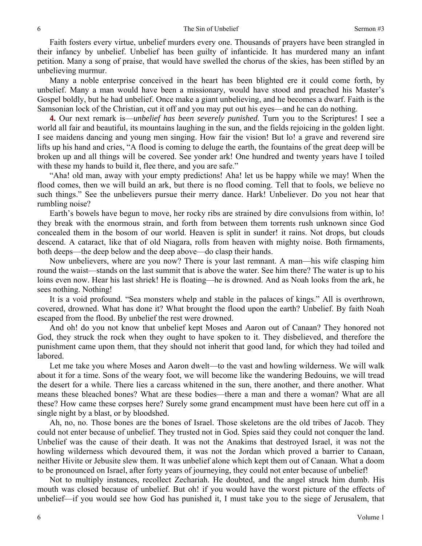Faith fosters every virtue, unbelief murders every one. Thousands of prayers have been strangled in their infancy by unbelief. Unbelief has been guilty of infanticide. It has murdered many an infant petition. Many a song of praise, that would have swelled the chorus of the skies, has been stifled by an unbelieving murmur.

Many a noble enterprise conceived in the heart has been blighted ere it could come forth, by unbelief. Many a man would have been a missionary, would have stood and preached his Master's Gospel boldly, but he had unbelief. Once make a giant unbelieving, and he becomes a dwarf. Faith is the Samsonian lock of the Christian, cut it off and you may put out his eyes—and he can do nothing.

**4.** Our next remark is—*unbelief has been severely punished*. Turn you to the Scriptures! I see a world all fair and beautiful, its mountains laughing in the sun, and the fields rejoicing in the golden light. I see maidens dancing and young men singing. How fair the vision! But lo! a grave and reverend sire lifts up his hand and cries, "A flood is coming to deluge the earth, the fountains of the great deep will be broken up and all things will be covered. See yonder ark! One hundred and twenty years have I toiled with these my hands to build it, flee there, and you are safe."

"Aha! old man, away with your empty predictions! Aha! let us be happy while we may! When the flood comes, then we will build an ark, but there is no flood coming. Tell that to fools, we believe no such things." See the unbelievers pursue their merry dance. Hark! Unbeliever. Do you not hear that rumbling noise?

Earth's bowels have begun to move, her rocky ribs are strained by dire convulsions from within, lo! they break with the enormous strain, and forth from between them torrents rush unknown since God concealed them in the bosom of our world. Heaven is split in sunder! it rains. Not drops, but clouds descend. A cataract, like that of old Niagara, rolls from heaven with mighty noise. Both firmaments, both deeps—the deep below and the deep above—do clasp their hands.

Now unbelievers, where are you now? There is your last remnant. A man—his wife clasping him round the waist—stands on the last summit that is above the water. See him there? The water is up to his loins even now. Hear his last shriek! He is floating—he is drowned. And as Noah looks from the ark, he sees nothing. Nothing!

It is a void profound. "Sea monsters whelp and stable in the palaces of kings." All is overthrown, covered, drowned. What has done it? What brought the flood upon the earth? Unbelief. By faith Noah escaped from the flood. By unbelief the rest were drowned.

And oh! do you not know that unbelief kept Moses and Aaron out of Canaan? They honored not God, they struck the rock when they ought to have spoken to it. They disbelieved, and therefore the punishment came upon them, that they should not inherit that good land, for which they had toiled and labored.

Let me take you where Moses and Aaron dwelt—to the vast and howling wilderness. We will walk about it for a time. Sons of the weary foot, we will become like the wandering Bedouins, we will tread the desert for a while. There lies a carcass whitened in the sun, there another, and there another. What means these bleached bones? What are these bodies—there a man and there a woman? What are all these? How came these corpses here? Surely some grand encampment must have been here cut off in a single night by a blast, or by bloodshed.

Ah, no, no. Those bones are the bones of Israel. Those skeletons are the old tribes of Jacob. They could not enter because of unbelief. They trusted not in God. Spies said they could not conquer the land. Unbelief was the cause of their death. It was not the Anakims that destroyed Israel, it was not the howling wilderness which devoured them, it was not the Jordan which proved a barrier to Canaan, neither Hivite or Jebusite slew them. It was unbelief alone which kept them out of Canaan. What a doom to be pronounced on Israel, after forty years of journeying, they could not enter because of unbelief!

Not to multiply instances, recollect Zechariah. He doubted, and the angel struck him dumb. His mouth was closed because of unbelief. But oh! if you would have the worst picture of the effects of unbelief—if you would see how God has punished it, I must take you to the siege of Jerusalem, that

6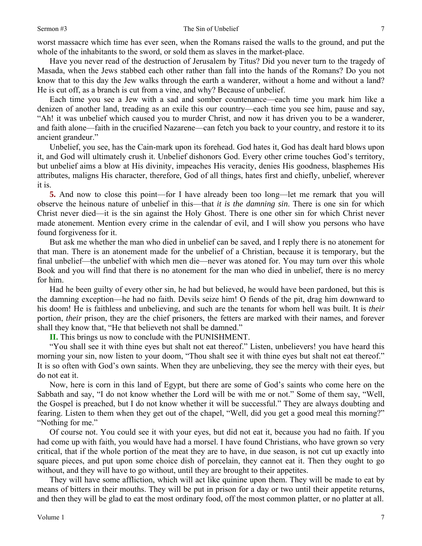worst massacre which time has ever seen, when the Romans raised the walls to the ground, and put the whole of the inhabitants to the sword, or sold them as slaves in the market-place.

Have you never read of the destruction of Jerusalem by Titus? Did you never turn to the tragedy of Masada, when the Jews stabbed each other rather than fall into the hands of the Romans? Do you not know that to this day the Jew walks through the earth a wanderer, without a home and without a land? He is cut off, as a branch is cut from a vine, and why? Because of unbelief.

Each time you see a Jew with a sad and somber countenance—each time you mark him like a denizen of another land, treading as an exile this our country—each time you see him, pause and say, "Ah! it was unbelief which caused you to murder Christ, and now it has driven you to be a wanderer, and faith alone—faith in the crucified Nazarene—can fetch you back to your country, and restore it to its ancient grandeur."

Unbelief, you see, has the Cain-mark upon its forehead. God hates it, God has dealt hard blows upon it, and God will ultimately crush it. Unbelief dishonors God. Every other crime touches God's territory, but unbelief aims a blow at His divinity, impeaches His veracity, denies His goodness, blasphemes His attributes, maligns His character, therefore, God of all things, hates first and chiefly, unbelief, wherever it is.

**5.** And now to close this point—for I have already been too long—let me remark that you will observe the heinous nature of unbelief in this—that *it is the damning sin*. There is one sin for which Christ never died—it is the sin against the Holy Ghost. There is one other sin for which Christ never made atonement. Mention every crime in the calendar of evil, and I will show you persons who have found forgiveness for it.

But ask me whether the man who died in unbelief can be saved, and I reply there is no atonement for that man. There is an atonement made for the unbelief of a Christian, because it is temporary, but the final unbelief—the unbelief with which men die—never was atoned for. You may turn over this whole Book and you will find that there is no atonement for the man who died in unbelief, there is no mercy for him.

Had he been guilty of every other sin, he had but believed, he would have been pardoned, but this is the damning exception—he had no faith. Devils seize him! O fiends of the pit, drag him downward to his doom! He is faithless and unbelieving, and such are the tenants for whom hell was built. It is *their*  portion, *their* prison, they are the chief prisoners, the fetters are marked with their names, and forever shall they know that, "He that believeth not shall be damned."

**II.** This brings us now to conclude with the PUNISHMENT.

"You shall see it with thine eyes but shalt not eat thereof." Listen, unbelievers! you have heard this morning your sin, now listen to your doom, "Thou shalt see it with thine eyes but shalt not eat thereof." It is so often with God's own saints. When they are unbelieving, they see the mercy with their eyes, but do not eat it.

Now, here is corn in this land of Egypt, but there are some of God's saints who come here on the Sabbath and say, "I do not know whether the Lord will be with me or not." Some of them say, "Well, the Gospel is preached, but I do not know whether it will be successful." They are always doubting and fearing. Listen to them when they get out of the chapel, "Well, did you get a good meal this morning?" "Nothing for me."

Of course not. You could see it with your eyes, but did not eat it, because you had no faith. If you had come up with faith, you would have had a morsel. I have found Christians, who have grown so very critical, that if the whole portion of the meat they are to have, in due season, is not cut up exactly into square pieces, and put upon some choice dish of porcelain, they cannot eat it. Then they ought to go without, and they will have to go without, until they are brought to their appetites.

They will have some affliction, which will act like quinine upon them. They will be made to eat by means of bitters in their mouths. They will be put in prison for a day or two until their appetite returns, and then they will be glad to eat the most ordinary food, off the most common platter, or no platter at all.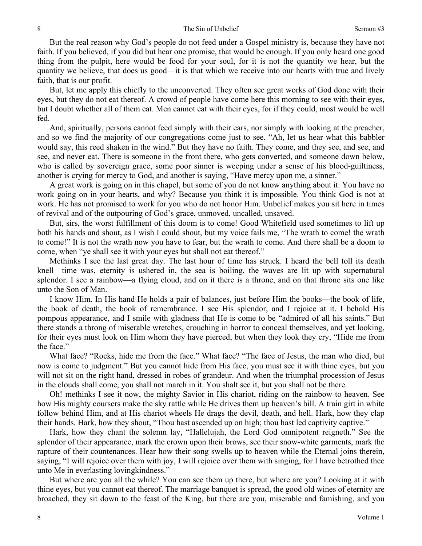But the real reason why God's people do not feed under a Gospel ministry is, because they have not faith. If you believed, if you did but hear one promise, that would be enough. If you only heard one good thing from the pulpit, here would be food for your soul, for it is not the quantity we hear, but the quantity we believe, that does us good—it is that which we receive into our hearts with true and lively faith, that is our profit.

But, let me apply this chiefly to the unconverted. They often see great works of God done with their eyes, but they do not eat thereof. A crowd of people have come here this morning to see with their eyes, but I doubt whether all of them eat. Men cannot eat with their eyes, for if they could, most would be well fed.

And, spiritually, persons cannot feed simply with their ears, nor simply with looking at the preacher, and so we find the majority of our congregations come just to see. "Ah, let us hear what this babbler would say, this reed shaken in the wind." But they have no faith. They come, and they see, and see, and see, and never eat. There is someone in the front there, who gets converted, and someone down below, who is called by sovereign grace, some poor sinner is weeping under a sense of his blood-guiltiness, another is crying for mercy to God, and another is saying, "Have mercy upon me, a sinner."

A great work is going on in this chapel, but some of you do not know anything about it. You have no work going on in your hearts, and why? Because you think it is impossible. You think God is not at work. He has not promised to work for you who do not honor Him. Unbelief makes you sit here in times of revival and of the outpouring of God's grace, unmoved, uncalled, unsaved.

But, sirs, the worst fulfillment of this doom is to come! Good Whitefield used sometimes to lift up both his hands and shout, as I wish I could shout, but my voice fails me, "The wrath to come! the wrath to come!" It is not the wrath now you have to fear, but the wrath to come. And there shall be a doom to come, when "ye shall see it with your eyes but shall not eat thereof."

Methinks I see the last great day. The last hour of time has struck. I heard the bell toll its death knell—time was, eternity is ushered in, the sea is boiling, the waves are lit up with supernatural splendor. I see a rainbow—a flying cloud, and on it there is a throne, and on that throne sits one like unto the Son of Man.

I know Him. In His hand He holds a pair of balances, just before Him the books—the book of life, the book of death, the book of remembrance. I see His splendor, and I rejoice at it. I behold His pompous appearance, and I smile with gladness that He is come to be "admired of all his saints." But there stands a throng of miserable wretches, crouching in horror to conceal themselves, and yet looking, for their eyes must look on Him whom they have pierced, but when they look they cry, "Hide me from the face."

What face? "Rocks, hide me from the face." What face? "The face of Jesus, the man who died, but now is come to judgment." But you cannot hide from His face, you must see it with thine eyes, but you will not sit on the right hand, dressed in robes of grandeur. And when the triumphal procession of Jesus in the clouds shall come, you shall not march in it. You shalt see it, but you shall not be there.

Oh! methinks I see it now, the mighty Savior in His chariot, riding on the rainbow to heaven. See how His mighty coursers make the sky rattle while He drives them up heaven's hill. A train girt in white follow behind Him, and at His chariot wheels He drags the devil, death, and hell. Hark, how they clap their hands. Hark, how they shout, "Thou hast ascended up on high; thou hast led captivity captive."

Hark, how they chant the solemn lay, "Hallelujah, the Lord God omnipotent reigneth." See the splendor of their appearance, mark the crown upon their brows, see their snow-white garments, mark the rapture of their countenances. Hear how their song swells up to heaven while the Eternal joins therein, saying, "I will rejoice over them with joy, I will rejoice over them with singing, for I have betrothed thee unto Me in everlasting lovingkindness."

But where are you all the while? You can see them up there, but where are you? Looking at it with thine eyes, but you cannot eat thereof. The marriage banquet is spread, the good old wines of eternity are broached, they sit down to the feast of the King, but there are you, miserable and famishing, and you

8